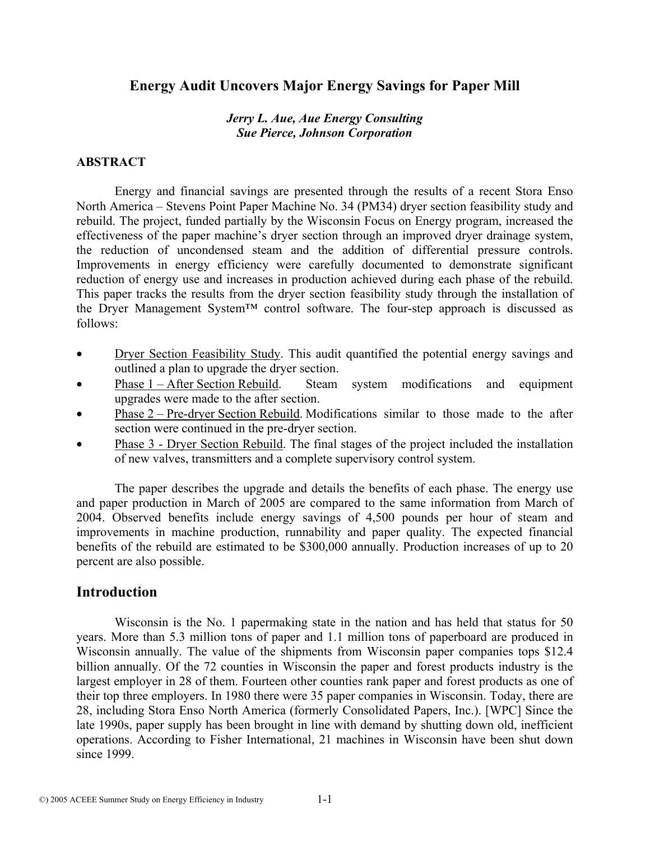# **Energy Audit Uncovers Major Energy Savings for Paper Mill**

#### *Jerry L. Aue, Aue Energy Consulting Sue Pierce, Johnson Corporation*

#### **ABSTRACT**

 Energy and financial savings are presented through the results of a recent Stora Enso North America – Stevens Point Paper Machine No. 34 (PM34) dryer section feasibility study and rebuild. The project, funded partially by the Wisconsin Focus on Energy program, increased the effectiveness of the paper machine's dryer section through an improved dryer drainage system, the reduction of uncondensed steam and the addition of differential pressure controls. Improvements in energy efficiency were carefully documented to demonstrate significant reduction of energy use and increases in production achieved during each phase of the rebuild. This paper tracks the results from the dryer section feasibility study through the installation of the Dryer Management System™ control software. The four-step approach is discussed as follows:

- Dryer Section Feasibility Study. This audit quantified the potential energy savings and outlined a plan to upgrade the dryer section.
- Phase 1 After Section Rebuild. Steam system modifications and equipment upgrades were made to the after section.
- Phase 2 Pre-dryer Section Rebuild. Modifications similar to those made to the after section were continued in the pre-dryer section.
- Phase 3 Dryer Section Rebuild. The final stages of the project included the installation of new valves, transmitters and a complete supervisory control system.

 The paper describes the upgrade and details the benefits of each phase. The energy use and paper production in March of 2005 are compared to the same information from March of 2004. Observed benefits include energy savings of 4,500 pounds per hour of steam and improvements in machine production, runnability and paper quality. The expected financial benefits of the rebuild are estimated to be \$300,000 annually. Production increases of up to 20 percent are also possible.

## **Introduction**

 Wisconsin is the No. 1 papermaking state in the nation and has held that status for 50 years. More than 5.3 million tons of paper and 1.1 million tons of paperboard are produced in Wisconsin annually. The value of the shipments from Wisconsin paper companies tops \$12.4 billion annually. Of the 72 counties in Wisconsin the paper and forest products industry is the largest employer in 28 of them. Fourteen other counties rank paper and forest products as one of their top three employers. In 1980 there were 35 paper companies in Wisconsin. Today, there are 28, including Stora Enso North America (formerly Consolidated Papers, Inc.). [WPC] Since the late 1990s, paper supply has been brought in line with demand by shutting down old, inefficient operations. According to Fisher International, 21 machines in Wisconsin have been shut down since 1999.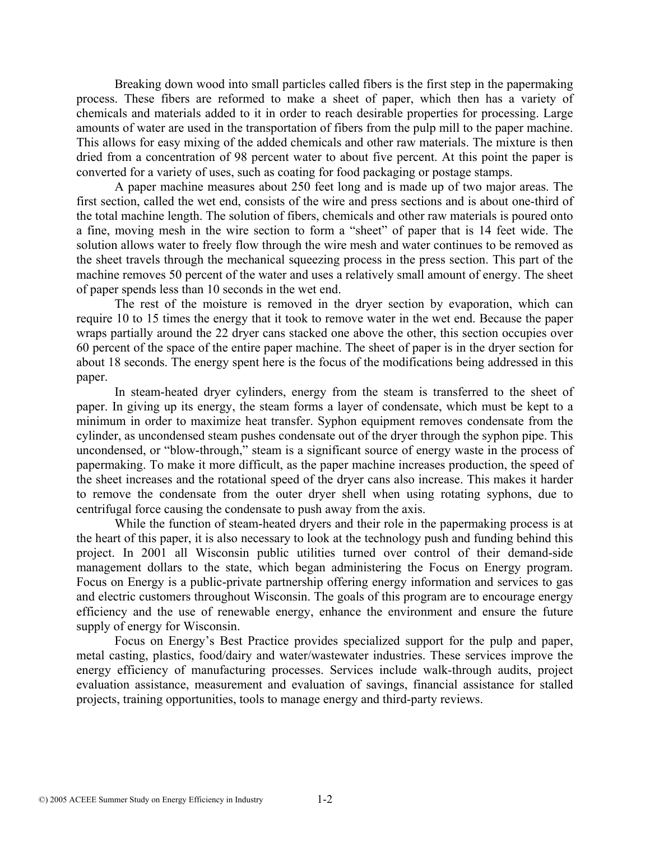Breaking down wood into small particles called fibers is the first step in the papermaking process. These fibers are reformed to make a sheet of paper, which then has a variety of chemicals and materials added to it in order to reach desirable properties for processing. Large amounts of water are used in the transportation of fibers from the pulp mill to the paper machine. This allows for easy mixing of the added chemicals and other raw materials. The mixture is then dried from a concentration of 98 percent water to about five percent. At this point the paper is converted for a variety of uses, such as coating for food packaging or postage stamps.

 A paper machine measures about 250 feet long and is made up of two major areas. The first section, called the wet end, consists of the wire and press sections and is about one-third of the total machine length. The solution of fibers, chemicals and other raw materials is poured onto a fine, moving mesh in the wire section to form a "sheet" of paper that is 14 feet wide. The solution allows water to freely flow through the wire mesh and water continues to be removed as the sheet travels through the mechanical squeezing process in the press section. This part of the machine removes 50 percent of the water and uses a relatively small amount of energy. The sheet of paper spends less than 10 seconds in the wet end.

 The rest of the moisture is removed in the dryer section by evaporation, which can require 10 to 15 times the energy that it took to remove water in the wet end. Because the paper wraps partially around the 22 dryer cans stacked one above the other, this section occupies over 60 percent of the space of the entire paper machine. The sheet of paper is in the dryer section for about 18 seconds. The energy spent here is the focus of the modifications being addressed in this paper.

 In steam-heated dryer cylinders, energy from the steam is transferred to the sheet of paper. In giving up its energy, the steam forms a layer of condensate, which must be kept to a minimum in order to maximize heat transfer. Syphon equipment removes condensate from the cylinder, as uncondensed steam pushes condensate out of the dryer through the syphon pipe. This uncondensed, or "blow-through," steam is a significant source of energy waste in the process of papermaking. To make it more difficult, as the paper machine increases production, the speed of the sheet increases and the rotational speed of the dryer cans also increase. This makes it harder to remove the condensate from the outer dryer shell when using rotating syphons, due to centrifugal force causing the condensate to push away from the axis.

 While the function of steam-heated dryers and their role in the papermaking process is at the heart of this paper, it is also necessary to look at the technology push and funding behind this project. In 2001 all Wisconsin public utilities turned over control of their demand-side management dollars to the state, which began administering the Focus on Energy program. Focus on Energy is a public-private partnership offering energy information and services to gas and electric customers throughout Wisconsin. The goals of this program are to encourage energy efficiency and the use of renewable energy, enhance the environment and ensure the future supply of energy for Wisconsin.

 Focus on Energy's Best Practice provides specialized support for the pulp and paper, metal casting, plastics, food/dairy and water/wastewater industries. These services improve the energy efficiency of manufacturing processes. Services include walk-through audits, project evaluation assistance, measurement and evaluation of savings, financial assistance for stalled projects, training opportunities, tools to manage energy and third-party reviews.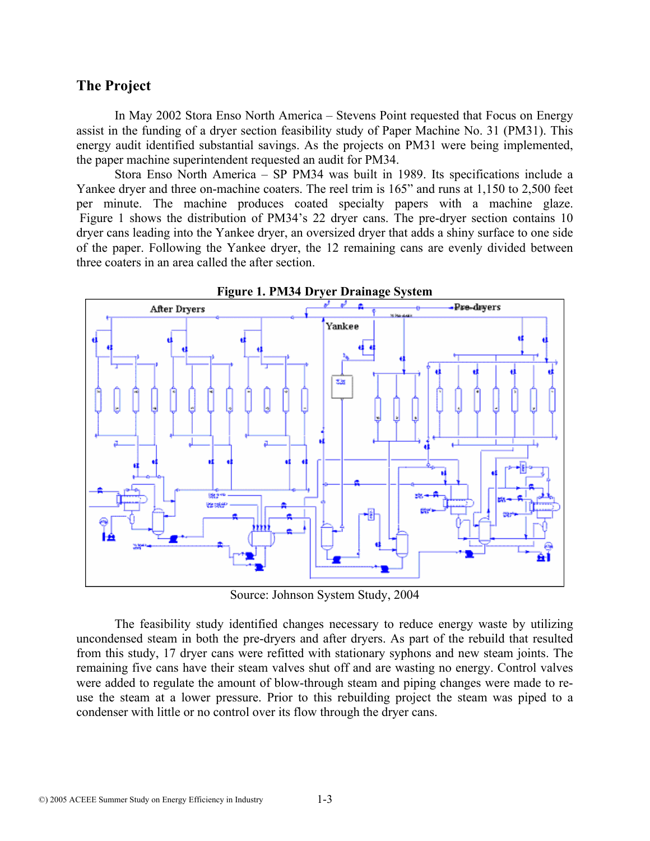## **The Project**

 In May 2002 Stora Enso North America – Stevens Point requested that Focus on Energy assist in the funding of a dryer section feasibility study of Paper Machine No. 31 (PM31). This energy audit identified substantial savings. As the projects on PM31 were being implemented, the paper machine superintendent requested an audit for PM34.

 Stora Enso North America – SP PM34 was built in 1989. Its specifications include a Yankee dryer and three on-machine coaters. The reel trim is 165" and runs at 1,150 to 2,500 feet per minute. The machine produces coated specialty papers with a machine glaze. Figure 1 shows the distribution of PM34's 22 dryer cans. The pre-dryer section contains 10 dryer cans leading into the Yankee dryer, an oversized dryer that adds a shiny surface to one side of the paper. Following the Yankee dryer, the 12 remaining cans are evenly divided between three coaters in an area called the after section.



Source: Johnson System Study, 2004

 The feasibility study identified changes necessary to reduce energy waste by utilizing uncondensed steam in both the pre-dryers and after dryers. As part of the rebuild that resulted from this study, 17 dryer cans were refitted with stationary syphons and new steam joints. The remaining five cans have their steam valves shut off and are wasting no energy. Control valves were added to regulate the amount of blow-through steam and piping changes were made to reuse the steam at a lower pressure. Prior to this rebuilding project the steam was piped to a condenser with little or no control over its flow through the dryer cans.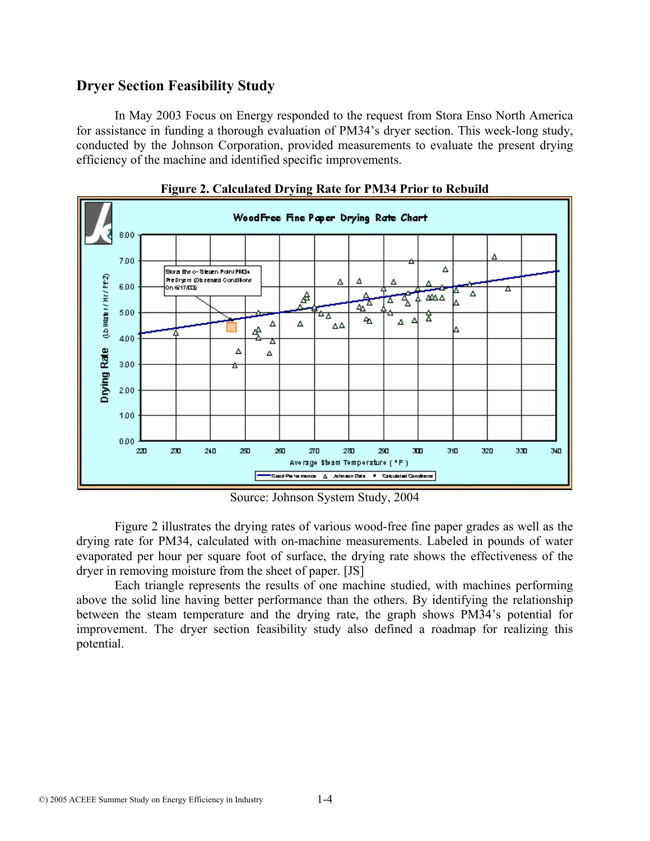# **Dryer Section Feasibility Study**

 In May 2003 Focus on Energy responded to the request from Stora Enso North America for assistance in funding a thorough evaluation of PM34's dryer section. This week-long study, conducted by the Johnson Corporation, provided measurements to evaluate the present drying efficiency of the machine and identified specific improvements.



**Figure 2. Calculated Drying Rate for PM34 Prior to Rebuild** 

Source: Johnson System Study, 2004

 Figure 2 illustrates the drying rates of various wood-free fine paper grades as well as the drying rate for PM34, calculated with on-machine measurements. Labeled in pounds of water evaporated per hour per square foot of surface, the drying rate shows the effectiveness of the dryer in removing moisture from the sheet of paper. [JS]

 Each triangle represents the results of one machine studied, with machines performing above the solid line having better performance than the others. By identifying the relationship between the steam temperature and the drying rate, the graph shows PM34's potential for improvement. The dryer section feasibility study also defined a roadmap for realizing this potential.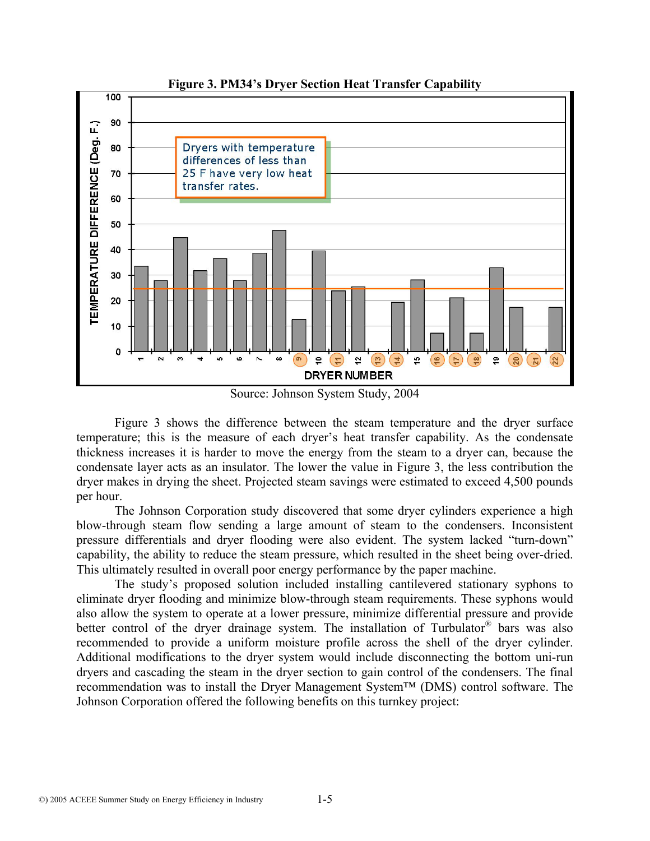

**Figure 3. PM34's Dryer Section Heat Transfer Capability**

Source: Johnson System Study, 2004

 Figure 3 shows the difference between the steam temperature and the dryer surface temperature; this is the measure of each dryer's heat transfer capability. As the condensate thickness increases it is harder to move the energy from the steam to a dryer can, because the condensate layer acts as an insulator. The lower the value in Figure 3, the less contribution the dryer makes in drying the sheet. Projected steam savings were estimated to exceed 4,500 pounds per hour.

 The Johnson Corporation study discovered that some dryer cylinders experience a high blow-through steam flow sending a large amount of steam to the condensers. Inconsistent pressure differentials and dryer flooding were also evident. The system lacked "turn-down" capability, the ability to reduce the steam pressure, which resulted in the sheet being over-dried. This ultimately resulted in overall poor energy performance by the paper machine.

 The study's proposed solution included installing cantilevered stationary syphons to eliminate dryer flooding and minimize blow-through steam requirements. These syphons would also allow the system to operate at a lower pressure, minimize differential pressure and provide better control of the dryer drainage system. The installation of Turbulator® bars was also recommended to provide a uniform moisture profile across the shell of the dryer cylinder. Additional modifications to the dryer system would include disconnecting the bottom uni-run dryers and cascading the steam in the dryer section to gain control of the condensers. The final recommendation was to install the Dryer Management System™ (DMS) control software. The Johnson Corporation offered the following benefits on this turnkey project: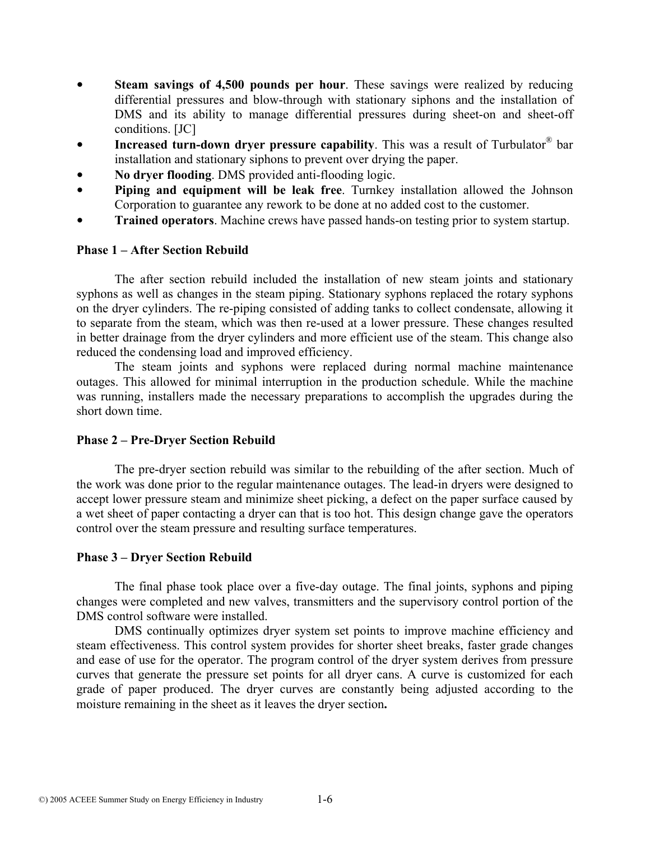- **Steam savings of 4,500 pounds per hour**. These savings were realized by reducing differential pressures and blow-through with stationary siphons and the installation of DMS and its ability to manage differential pressures during sheet-on and sheet-off conditions. [JC]
- **Increased turn-down dryer pressure capability**. This was a result of Turbulator<sup>®</sup> bar installation and stationary siphons to prevent over drying the paper.
- **No dryer flooding**. DMS provided anti-flooding logic.
- **Piping and equipment will be leak free**. Turnkey installation allowed the Johnson Corporation to guarantee any rework to be done at no added cost to the customer.
- **Trained operators**. Machine crews have passed hands-on testing prior to system startup.

#### **Phase 1 – After Section Rebuild**

 The after section rebuild included the installation of new steam joints and stationary syphons as well as changes in the steam piping. Stationary syphons replaced the rotary syphons on the dryer cylinders. The re-piping consisted of adding tanks to collect condensate, allowing it to separate from the steam, which was then re-used at a lower pressure. These changes resulted in better drainage from the dryer cylinders and more efficient use of the steam. This change also reduced the condensing load and improved efficiency.

 The steam joints and syphons were replaced during normal machine maintenance outages. This allowed for minimal interruption in the production schedule. While the machine was running, installers made the necessary preparations to accomplish the upgrades during the short down time.

#### **Phase 2 – Pre-Dryer Section Rebuild**

 The pre-dryer section rebuild was similar to the rebuilding of the after section. Much of the work was done prior to the regular maintenance outages. The lead-in dryers were designed to accept lower pressure steam and minimize sheet picking, a defect on the paper surface caused by a wet sheet of paper contacting a dryer can that is too hot. This design change gave the operators control over the steam pressure and resulting surface temperatures.

#### **Phase 3 – Dryer Section Rebuild**

 The final phase took place over a five-day outage. The final joints, syphons and piping changes were completed and new valves, transmitters and the supervisory control portion of the DMS control software were installed.

 DMS continually optimizes dryer system set points to improve machine efficiency and steam effectiveness. This control system provides for shorter sheet breaks, faster grade changes and ease of use for the operator. The program control of the dryer system derives from pressure curves that generate the pressure set points for all dryer cans. A curve is customized for each grade of paper produced. The dryer curves are constantly being adjusted according to the moisture remaining in the sheet as it leaves the dryer section**.**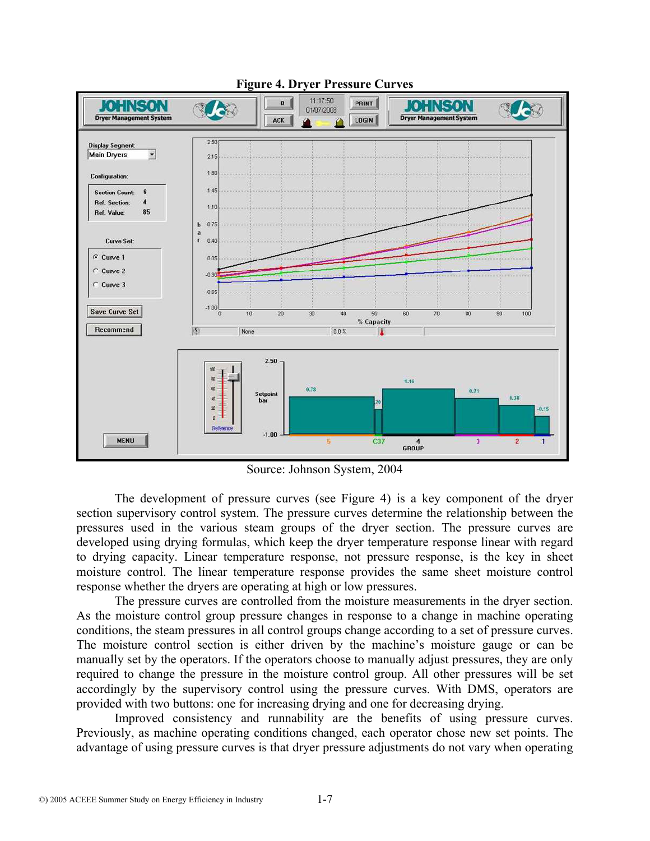

**Figure 4. Dryer Pressure Curves** 

Source: Johnson System, 2004

 The development of pressure curves (see Figure 4) is a key component of the dryer section supervisory control system. The pressure curves determine the relationship between the pressures used in the various steam groups of the dryer section. The pressure curves are developed using drying formulas, which keep the dryer temperature response linear with regard to drying capacity. Linear temperature response, not pressure response, is the key in sheet moisture control. The linear temperature response provides the same sheet moisture control response whether the dryers are operating at high or low pressures.

 The pressure curves are controlled from the moisture measurements in the dryer section. As the moisture control group pressure changes in response to a change in machine operating conditions, the steam pressures in all control groups change according to a set of pressure curves. The moisture control section is either driven by the machine's moisture gauge or can be manually set by the operators. If the operators choose to manually adjust pressures, they are only required to change the pressure in the moisture control group. All other pressures will be set accordingly by the supervisory control using the pressure curves. With DMS, operators are provided with two buttons: one for increasing drying and one for decreasing drying.

 Improved consistency and runnability are the benefits of using pressure curves. Previously, as machine operating conditions changed, each operator chose new set points. The advantage of using pressure curves is that dryer pressure adjustments do not vary when operating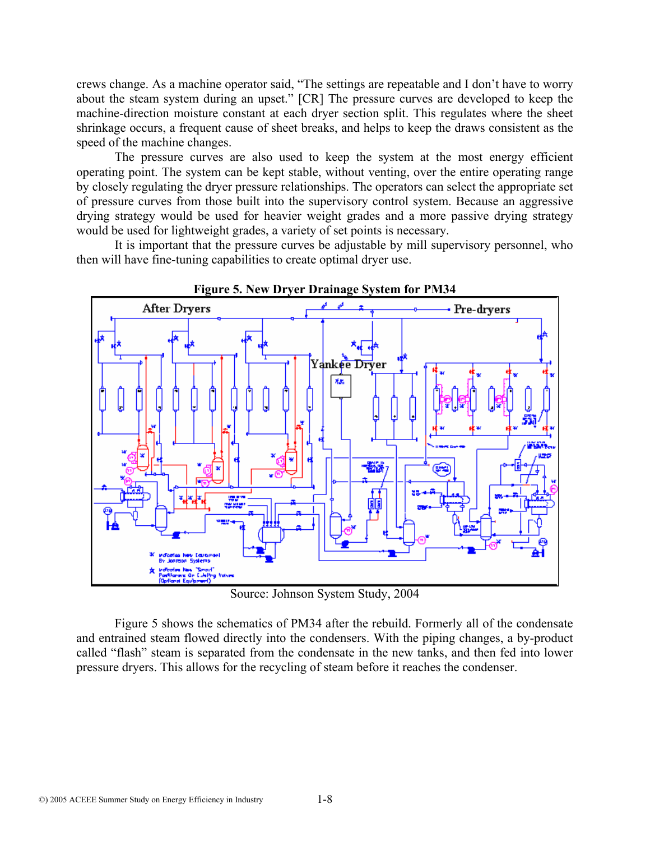crews change. As a machine operator said, "The settings are repeatable and I don't have to worry about the steam system during an upset." [CR] The pressure curves are developed to keep the machine-direction moisture constant at each dryer section split. This regulates where the sheet shrinkage occurs, a frequent cause of sheet breaks, and helps to keep the draws consistent as the speed of the machine changes.

 The pressure curves are also used to keep the system at the most energy efficient operating point. The system can be kept stable, without venting, over the entire operating range by closely regulating the dryer pressure relationships. The operators can select the appropriate set of pressure curves from those built into the supervisory control system. Because an aggressive drying strategy would be used for heavier weight grades and a more passive drying strategy would be used for lightweight grades, a variety of set points is necessary.

 It is important that the pressure curves be adjustable by mill supervisory personnel, who then will have fine-tuning capabilities to create optimal dryer use.



Source: Johnson System Study, 2004

 Figure 5 shows the schematics of PM34 after the rebuild. Formerly all of the condensate and entrained steam flowed directly into the condensers. With the piping changes, a by-product called "flash" steam is separated from the condensate in the new tanks, and then fed into lower pressure dryers. This allows for the recycling of steam before it reaches the condenser.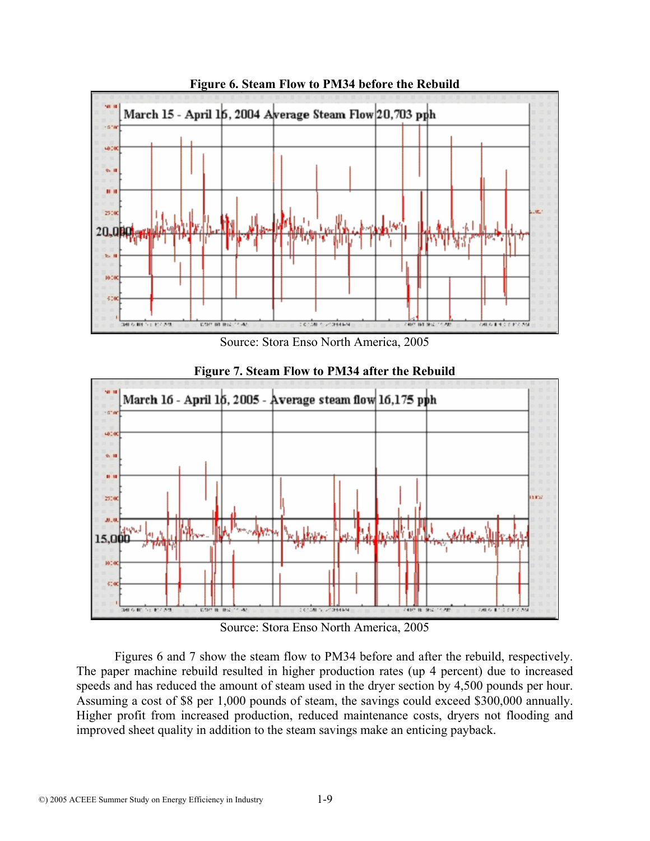

**Figure 6. Steam Flow to PM34 before the Rebuild** 





**Figure 7. Steam Flow to PM34 after the Rebuild** 

Source: Stora Enso North America, 2005

 Figures 6 and 7 show the steam flow to PM34 before and after the rebuild, respectively. The paper machine rebuild resulted in higher production rates (up 4 percent) due to increased speeds and has reduced the amount of steam used in the dryer section by 4,500 pounds per hour. Assuming a cost of \$8 per 1,000 pounds of steam, the savings could exceed \$300,000 annually. Higher profit from increased production, reduced maintenance costs, dryers not flooding and improved sheet quality in addition to the steam savings make an enticing payback.